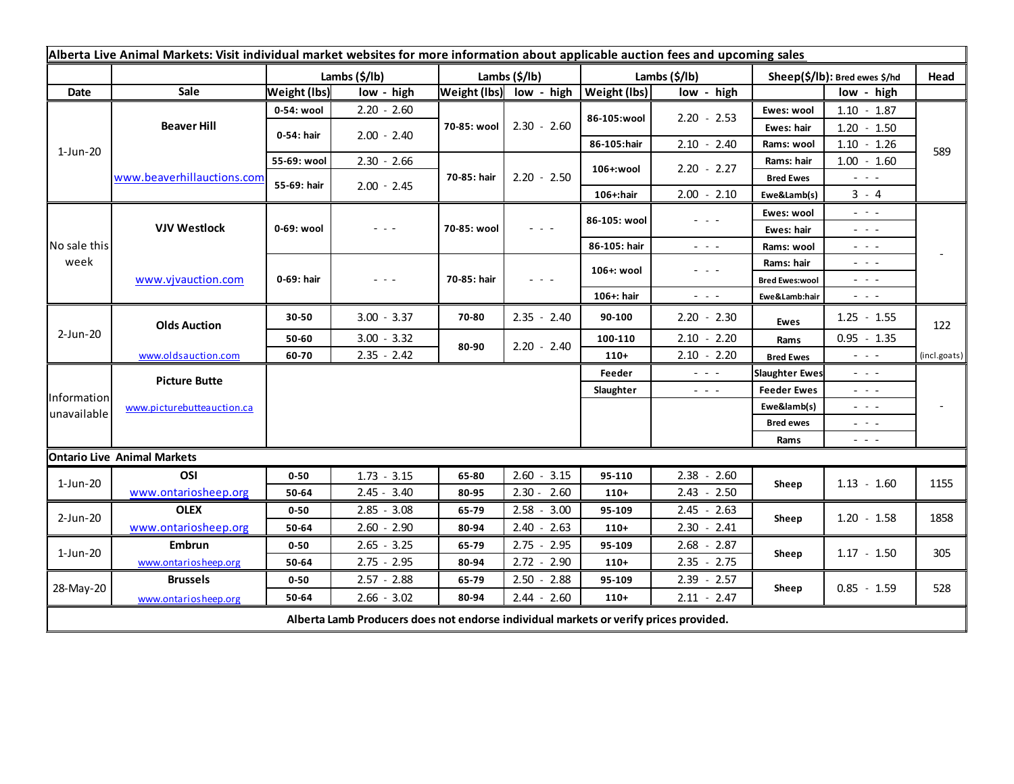| Alberta Live Animal Markets: Visit individual market websites for more information about applicable auction fees and upcoming sales |                                    |                     |               |                         |                                                                                                                        |  |               |                                                                                                                           |                                                                                                                                            |                                                                                                                        |              |
|-------------------------------------------------------------------------------------------------------------------------------------|------------------------------------|---------------------|---------------|-------------------------|------------------------------------------------------------------------------------------------------------------------|--|---------------|---------------------------------------------------------------------------------------------------------------------------|--------------------------------------------------------------------------------------------------------------------------------------------|------------------------------------------------------------------------------------------------------------------------|--------------|
|                                                                                                                                     |                                    |                     | Lambs (\$/lb) | Lambs (\$/lb)           |                                                                                                                        |  | Lambs (\$/lb) |                                                                                                                           | Sheep(\$/lb): Bred ewes \$/hd                                                                                                              |                                                                                                                        | Head         |
| Date                                                                                                                                | Sale                               | <b>Weight (lbs)</b> | low - high    | Weight (lbs) low - high |                                                                                                                        |  | Weight (lbs)  | low - high                                                                                                                |                                                                                                                                            | low - high                                                                                                             |              |
| $1-Jun-20$                                                                                                                          | <b>Beaver Hill</b>                 | 0-54: wool          | $2.20 - 2.60$ | 70-85: wool             |                                                                                                                        |  | 86-105:wool   | $2.20 - 2.53$                                                                                                             | Ewes: wool                                                                                                                                 | $1.10 - 1.87$                                                                                                          |              |
|                                                                                                                                     |                                    | 0-54: hair          | $2.00 - 2.40$ |                         | $2.30 - 2.60$                                                                                                          |  |               |                                                                                                                           | Ewes: hair                                                                                                                                 | $1.20 - 1.50$                                                                                                          |              |
|                                                                                                                                     |                                    |                     |               |                         |                                                                                                                        |  | 86-105:hair   | $2.10 - 2.40$                                                                                                             | Rams: wool                                                                                                                                 | $1.10 - 1.26$                                                                                                          | 589          |
|                                                                                                                                     | www.beaverhillauctions.com         | 55-69: wool         | $2.30 - 2.66$ | 70-85: hair             |                                                                                                                        |  | 106+:wool     | $2.20 - 2.27$                                                                                                             | Rams: hair                                                                                                                                 | $1.00 - 1.60$                                                                                                          |              |
|                                                                                                                                     |                                    | 55-69: hair         | $2.00 - 2.45$ |                         | $2.20 - 2.50$                                                                                                          |  |               |                                                                                                                           | <b>Bred Ewes</b>                                                                                                                           | - - -                                                                                                                  |              |
|                                                                                                                                     |                                    |                     |               |                         |                                                                                                                        |  | 106+:hair     | $2.00 - 2.10$                                                                                                             | Ewe&Lamb(s)                                                                                                                                | $3 - 4$                                                                                                                |              |
| No sale this<br>week                                                                                                                | <b>VJV Westlock</b>                | 0-69: wool          | - - -         | 70-85: wool             |                                                                                                                        |  | 86-105: wool  | $  -$                                                                                                                     | Ewes: wool                                                                                                                                 | $\omega_{\rm{c}}$ , $\omega_{\rm{c}}$                                                                                  |              |
|                                                                                                                                     |                                    |                     |               |                         | $\frac{1}{2} \left( \frac{1}{2} \right) \frac{1}{2} \left( \frac{1}{2} \right) \frac{1}{2} \left( \frac{1}{2} \right)$ |  |               |                                                                                                                           | Ewes: hair                                                                                                                                 | $\frac{1}{2} \left( \frac{1}{2} \right) = \frac{1}{2} \left( \frac{1}{2} \right)$                                      |              |
|                                                                                                                                     |                                    |                     |               |                         |                                                                                                                        |  | 86-105: hair  | $\sim$ $\sim$ $\sim$                                                                                                      | Rams: wool                                                                                                                                 | $  -$                                                                                                                  |              |
|                                                                                                                                     | www.vjvauction.com                 | 0-69: hair          | - - -         | 70-85: hair             | $  -$                                                                                                                  |  | 106+: wool    | $\frac{1}{2} \left( \frac{1}{2} \right) \left( \frac{1}{2} \right) \left( \frac{1}{2} \right) \left( \frac{1}{2} \right)$ | Rams: hair                                                                                                                                 | $\omega_{\rm{eff}}$ and $\omega_{\rm{eff}}$                                                                            |              |
|                                                                                                                                     |                                    |                     |               |                         |                                                                                                                        |  |               |                                                                                                                           | <b>Bred Ewes:wool</b>                                                                                                                      | $  -$                                                                                                                  |              |
|                                                                                                                                     |                                    |                     |               |                         |                                                                                                                        |  | 106+: hair    | $ -$                                                                                                                      | Ewe&Lamb:hair                                                                                                                              | $\frac{1}{2} \left( \frac{1}{2} \right) \frac{1}{2} \left( \frac{1}{2} \right) \frac{1}{2} \left( \frac{1}{2} \right)$ |              |
| 2-Jun-20                                                                                                                            | <b>Olds Auction</b>                | 30-50               | $3.00 - 3.37$ | 70-80                   | $2.35 - 2.40$                                                                                                          |  | 90-100        | $2.20 - 2.30$                                                                                                             | Ewes                                                                                                                                       | $1.25 - 1.55$                                                                                                          | 122          |
|                                                                                                                                     |                                    | 50-60               | $3.00 - 3.32$ | 80-90                   | $2.20 - 2.40$                                                                                                          |  | 100-110       | $2.10 - 2.20$                                                                                                             | Rams                                                                                                                                       | $0.95 - 1.35$                                                                                                          |              |
|                                                                                                                                     | www.oldsauction.com                | 60-70               | $2.35 - 2.42$ |                         |                                                                                                                        |  | $110+$        | $2.10 - 2.20$                                                                                                             | <b>Bred Ewes</b>                                                                                                                           | $ -$                                                                                                                   | (incl.goats) |
| Information<br>unavailable                                                                                                          | <b>Picture Butte</b>               |                     |               |                         |                                                                                                                        |  | Feeder        | $  -$                                                                                                                     | <b>Slaughter Ewes</b>                                                                                                                      | $ -$                                                                                                                   |              |
|                                                                                                                                     | www.picturebutteauction.ca         |                     |               |                         |                                                                                                                        |  | Slaughter     | $\frac{1}{2} \left( \frac{1}{2} \right) \left( \frac{1}{2} \right) \left( \frac{1}{2} \right)$                            | <b>Feeder Ewes</b>                                                                                                                         | - - -                                                                                                                  |              |
|                                                                                                                                     |                                    |                     |               |                         |                                                                                                                        |  |               | Ewe&lamb(s)                                                                                                               | - - -                                                                                                                                      |                                                                                                                        |              |
|                                                                                                                                     |                                    |                     |               |                         |                                                                                                                        |  |               |                                                                                                                           | <b>Bred ewes</b><br>$\frac{1}{2} \left( \frac{1}{2} \right) \frac{1}{2} \left( \frac{1}{2} \right) \frac{1}{2} \left( \frac{1}{2} \right)$ |                                                                                                                        |              |
|                                                                                                                                     |                                    |                     |               |                         |                                                                                                                        |  |               |                                                                                                                           | Rams                                                                                                                                       | $\frac{1}{2} \left( \frac{1}{2} \right) \frac{1}{2} \left( \frac{1}{2} \right) \frac{1}{2} \left( \frac{1}{2} \right)$ |              |
|                                                                                                                                     | <b>Ontario Live Animal Markets</b> |                     |               |                         |                                                                                                                        |  |               |                                                                                                                           |                                                                                                                                            |                                                                                                                        |              |
| $1-Jun-20$                                                                                                                          | OSI                                | $0 - 50$            | $1.73 - 3.15$ | 65-80                   | $2.60 - 3.15$                                                                                                          |  | 95-110        | $2.38 - 2.60$                                                                                                             | Sheep                                                                                                                                      | $1.13 - 1.60$                                                                                                          | 1155         |
|                                                                                                                                     | www.ontariosheep.org               | 50-64               | $2.45 - 3.40$ | 80-95                   | $2.30 - 2.60$                                                                                                          |  | $110+$        | $2.43 - 2.50$                                                                                                             |                                                                                                                                            |                                                                                                                        |              |
| $2$ -Jun-20                                                                                                                         | <b>OLEX</b>                        | $0 - 50$            | $2.85 - 3.08$ | 65-79                   | $2.58 - 3.00$                                                                                                          |  | 95-109        | $2.45 - 2.63$                                                                                                             | Sheep                                                                                                                                      | $1.20 - 1.58$                                                                                                          | 1858         |
|                                                                                                                                     | www.ontariosheep.org               | 50-64               | $2.60 - 2.90$ | 80-94                   | $2.40 - 2.63$                                                                                                          |  | $110+$        | $2.30 - 2.41$                                                                                                             |                                                                                                                                            |                                                                                                                        |              |
| 1-Jun-20                                                                                                                            | <b>Embrun</b>                      | $0 - 50$            | $2.65 - 3.25$ | 65-79                   | $2.75 - 2.95$                                                                                                          |  | 95-109        | $2.68 - 2.87$                                                                                                             | Sheep                                                                                                                                      | $1.17 - 1.50$                                                                                                          | 305          |
|                                                                                                                                     | www.ontariosheep.org               | 50-64               | $2.75 - 2.95$ | 80-94                   | $2.72 - 2.90$                                                                                                          |  | $110+$        | $2.35 - 2.75$                                                                                                             |                                                                                                                                            |                                                                                                                        |              |
| 28-May-20                                                                                                                           | <b>Brussels</b>                    | $0 - 50$            | $2.57 - 2.88$ | 65-79                   | $2.50 - 2.88$                                                                                                          |  | 95-109        | $2.39 - 2.57$                                                                                                             | Sheep                                                                                                                                      | $0.85 - 1.59$                                                                                                          | 528          |
|                                                                                                                                     | www.ontariosheep.org               | 50-64               | $2.66 - 3.02$ | 80-94                   | $2.44 - 2.60$                                                                                                          |  | $110+$        | $2.11 - 2.47$                                                                                                             |                                                                                                                                            |                                                                                                                        |              |
| Alberta Lamb Producers does not endorse individual markets or verify prices provided.                                               |                                    |                     |               |                         |                                                                                                                        |  |               |                                                                                                                           |                                                                                                                                            |                                                                                                                        |              |